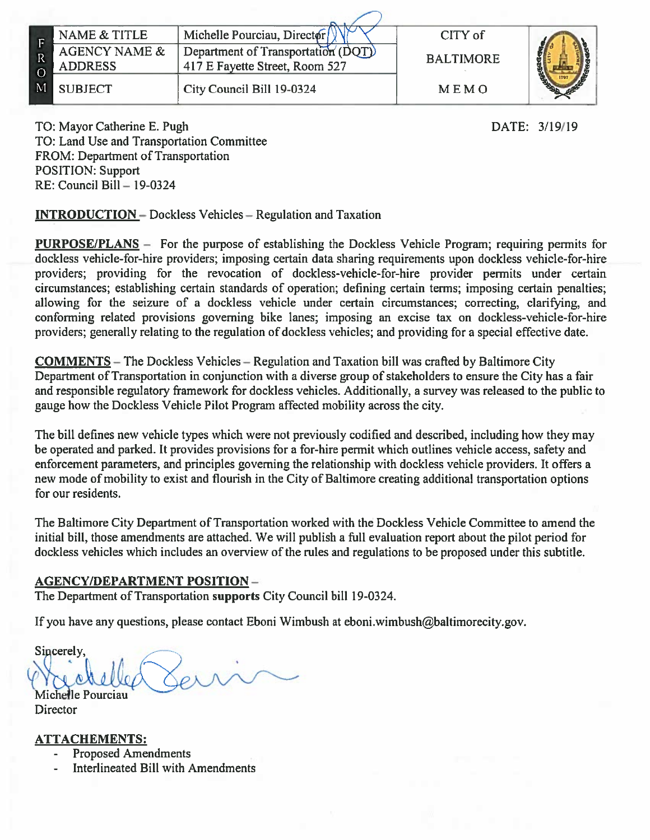|              | NAME & TITLE                    | Michelle Pourciau, Director                                            | CITY of          |  |
|--------------|---------------------------------|------------------------------------------------------------------------|------------------|--|
| $\mathbb{R}$ | AGENCY NAME &<br><b>ADDRESS</b> | Department of Transportation $(DQT)$<br>417 E Fayette Street, Room 527 | <b>BALTIMORE</b> |  |
| $\mathbf M$  | <b>SUBJECT</b>                  | City Council Bill 19-0324                                              | MEMO             |  |

DATE: 3/19/19

TO: Mayor Catherine E. Pugh TO: Land Use and Transportation Committee FROM: Department of Transportation **POSITION: Support**  $RE: Council$  Bill  $-19-0324$ 

**INTRODUCTION** – Dockless Vehicles – Regulation and Taxation

**PURPOSE/PLANS** – For the purpose of establishing the Dockless Vehicle Program; requiring permits for dockless vehicle-for-hire providers; imposing certain data sharing requirements upon dockless vehicle-for-hire providers; providing for the revocation of dockless-vehicle-for-hire provider permits under certain circumstances; establishing certain standards of operation; defining certain terms; imposing certain penalties; allowing for the seizure of a dockless vehicle under certain circumstances; correcting, clarifying, and conforming related provisions governing bike lanes; imposing an excise tax on dockless-vehicle-for-hire providers; generally relating to the regulation of dockless vehicles; and providing for a special effective date.

**COMMENTS** – The Dockless Vehicles – Regulation and Taxation bill was crafted by Baltimore City Department of Transportation in conjunction with a diverse group of stakeholders to ensure the City has a fair and responsible regulatory framework for dockless vehicles. Additionally, a survey was released to the public to gauge how the Dockless Vehicle Pilot Program affected mobility across the city.

The bill defines new vehicle types which were not previously codified and described, including how they may be operated and parked. It provides provisions for a for-hire permit which outlines vehicle access, safety and enforcement parameters, and principles governing the relationship with dockless vehicle providers. It offers a new mode of mobility to exist and flourish in the City of Baltimore creating additional transportation options for our residents.

The Baltimore City Department of Transportation worked with the Dockless Vehicle Committee to amend the initial bill, those amendments are attached. We will publish a full evaluation report about the pilot period for dockless vehicles which includes an overview of the rules and regulations to be proposed under this subtitle.

# <u> AGENCY/DEPARTMENT POSITION – </u>

The Department of Transportation supports City Council bill 19-0324.

If you have any questions, please contact Eboni Wimbush at eboni.wimbush@baltimorecity.gov.

Sincerely, Michelle Pourciau

**Director** 

# <u>ATTACHEMENTS:</u>

- **Proposed Amendments**
- Interlineated Bill with Amendments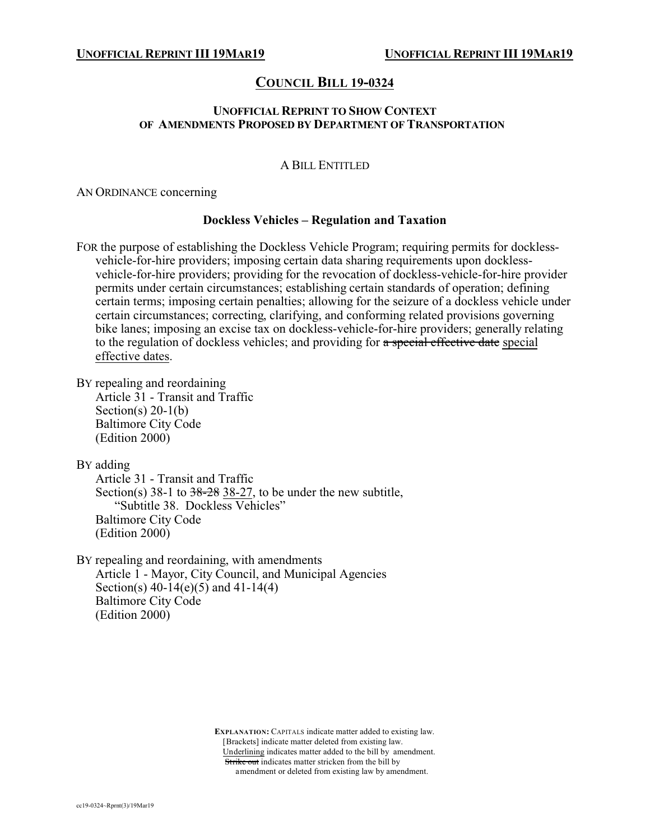# **COUNCIL BILL 19-0324**

## **UNOFFICIAL REPRINT TO SHOW CONTEXT OF AMENDMENTS PROPOSED BY DEPARTMENT OF TRANSPORTATION**

# A BILL ENTITLED

AN ORDINANCE concerning

## **Dockless Vehicles – Regulation and Taxation**

FOR the purpose of establishing the Dockless Vehicle Program; requiring permits for docklessvehicle-for-hire providers; imposing certain data sharing requirements upon docklessvehicle-for-hire providers; providing for the revocation of dockless-vehicle-for-hire provider permits under certain circumstances; establishing certain standards of operation; defining certain terms; imposing certain penalties; allowing for the seizure of a dockless vehicle under certain circumstances; correcting, clarifying, and conforming related provisions governing bike lanes; imposing an excise tax on dockless-vehicle-for-hire providers; generally relating to the regulation of dockless vehicles; and providing for a special effective date special effective dates.

BY repealing and reordaining

Article 31 - Transit and Traffic Section(s)  $20-1(b)$ Baltimore City Code (Edition 2000)

BY adding

Article 31 - Transit and Traffic Section(s)  $38-1$  to  $38-28$   $38-27$ , to be under the new subtitle, "Subtitle 38. Dockless Vehicles" Baltimore City Code (Edition 2000)

BY repealing and reordaining, with amendments Article 1 - Mayor, City Council, and Municipal Agencies Section(s) 40-14(e)(5) and 41-14(4) Baltimore City Code (Edition 2000)

> **EXPLANATION:** CAPITALS indicate matter added to existing law. [Brackets] indicate matter deleted from existing law. Underlining indicates matter added to the bill by amendment. Strike out indicates matter stricken from the bill by amendment or deleted from existing law by amendment.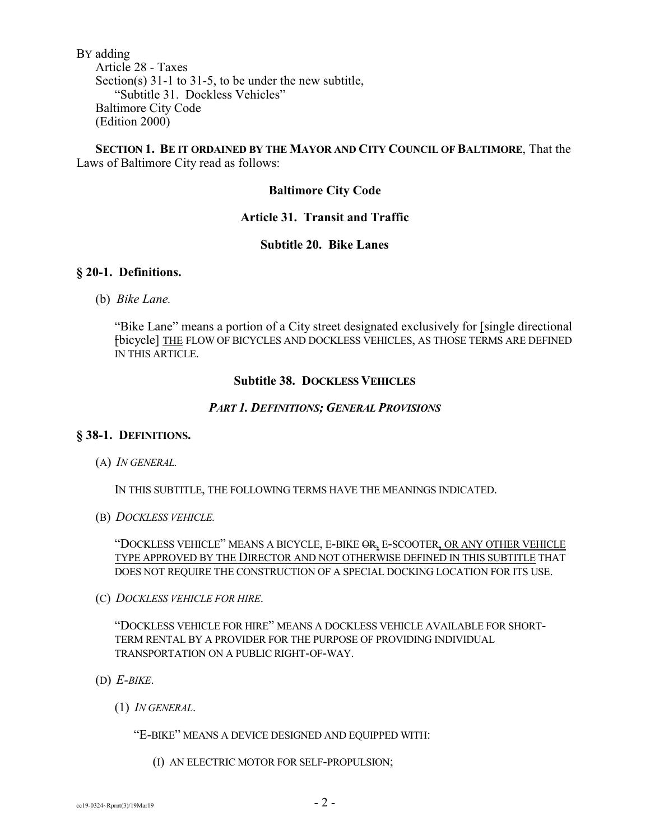BY adding Article 28 - Taxes Section(s) 31-1 to 31-5, to be under the new subtitle, "Subtitle 31. Dockless Vehicles" Baltimore City Code (Edition 2000)

## **SECTION 1. BE IT ORDAINED BY THE MAYOR AND CITY COUNCIL OF BALTIMORE**, That the Laws of Baltimore City read as follows:

## **Baltimore City Code**

## **Article 31. Transit and Traffic**

# **Subtitle 20. Bike Lanes**

## **§ 20-1. Definitions.**

(b) *Bike Lane.*

"Bike Lane" means a portion of a City street designated exclusively for [single directional [bicycle] THE FLOW OF BICYCLES AND DOCKLESS VEHICLES, AS THOSE TERMS ARE DEFINED IN THIS ARTICLE.

## **Subtitle 38. DOCKLESS VEHICLES**

## *PART 1. DEFINITIONS; GENERAL PROVISIONS*

### **§ 38-1. DEFINITIONS.**

(A) *IN GENERAL.*

IN THIS SUBTITLE, THE FOLLOWING TERMS HAVE THE MEANINGS INDICATED.

(B) *DOCKLESS VEHICLE.*

"DOCKLESS VEHICLE" MEANS A BICYCLE, E-BIKE OR, E-SCOOTER, OR ANY OTHER VEHICLE TYPE APPROVED BY THE DIRECTOR AND NOT OTHERWISE DEFINED IN THIS SUBTITLE THAT DOES NOT REQUIRE THE CONSTRUCTION OF A SPECIAL DOCKING LOCATION FOR ITS USE.

(C) *DOCKLESS VEHICLE FOR HIRE*.

"DOCKLESS VEHICLE FOR HIRE" MEANS A DOCKLESS VEHICLE AVAILABLE FOR SHORT-TERM RENTAL BY A PROVIDER FOR THE PURPOSE OF PROVIDING INDIVIDUAL TRANSPORTATION ON A PUBLIC RIGHT-OF-WAY.

- (D) *E-BIKE*.
	- (1) *IN GENERAL*.

"E-BIKE" MEANS A DEVICE DESIGNED AND EQUIPPED WITH:

(I) AN ELECTRIC MOTOR FOR SELF-PROPULSION;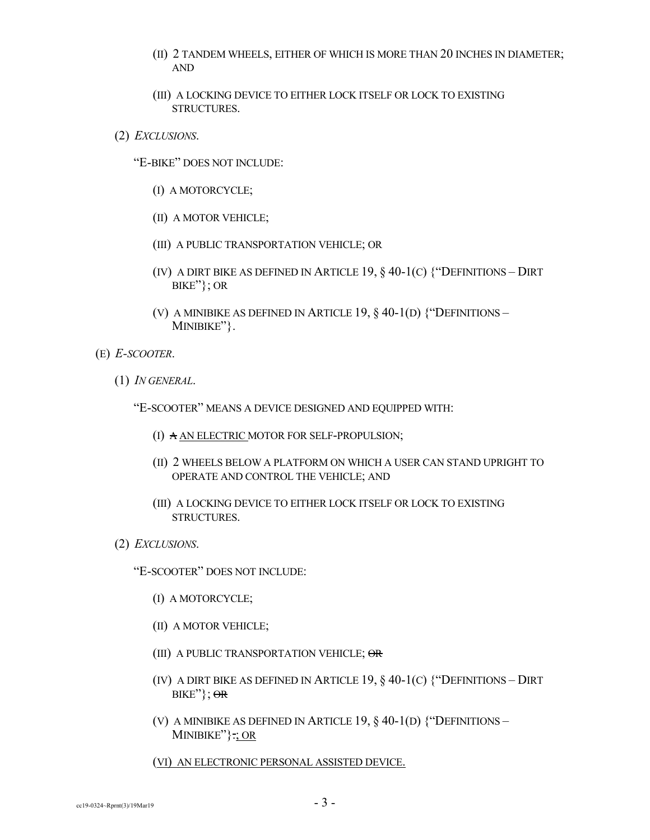- (II) 2 TANDEM WHEELS, EITHER OF WHICH IS MORE THAN 20 INCHES IN DIAMETER; AND
- (III) A LOCKING DEVICE TO EITHER LOCK ITSELF OR LOCK TO EXISTING STRUCTURES.
- (2) *EXCLUSIONS*.

"E-BIKE" DOES NOT INCLUDE:

- (I) A MOTORCYCLE;
- (II) A MOTOR VEHICLE;
- (III) A PUBLIC TRANSPORTATION VEHICLE; OR
- (IV) A DIRT BIKE AS DEFINED IN ARTICLE 19,  $\S 40-1$ (C) {"DEFINITIONS DIRT BIKE"}; OR
- (V) A MINIBIKE AS DEFINED IN ARTICLE 19,  $\S$  40-1(D)  $\H$ <sup>\*\*</sup>DEFINITIONS MINIBIKE"}.
- (E) *E-SCOOTER*.
	- (1) *IN GENERAL*.
		- "E-SCOOTER" MEANS A DEVICE DESIGNED AND EQUIPPED WITH:
			- (I) A AN ELECTRIC MOTOR FOR SELF-PROPULSION;
			- (II) 2 WHEELS BELOW A PLATFORM ON WHICH A USER CAN STAND UPRIGHT TO OPERATE AND CONTROL THE VEHICLE; AND
			- (III) A LOCKING DEVICE TO EITHER LOCK ITSELF OR LOCK TO EXISTING STRUCTURES.
	- (2) *EXCLUSIONS*.

"E-SCOOTER" DOES NOT INCLUDE:

- (I) A MOTORCYCLE;
- (II) A MOTOR VEHICLE;
- (III) A PUBLIC TRANSPORTATION VEHICLE; OR
- (IV) A DIRT BIKE AS DEFINED IN ARTICLE 19,  $\S$  40-1(C)  $\H$ <sup>\*</sup>DEFINITIONS DIRT  $BIKE''$ ;  $\Theta$ R
- (V) A MINIBIKE AS DEFINED IN ARTICLE 19, § 40-1(D) {"DEFINITIONS MINIBIKE"}.; OR

(VI) AN ELECTRONIC PERSONAL ASSISTED DEVICE.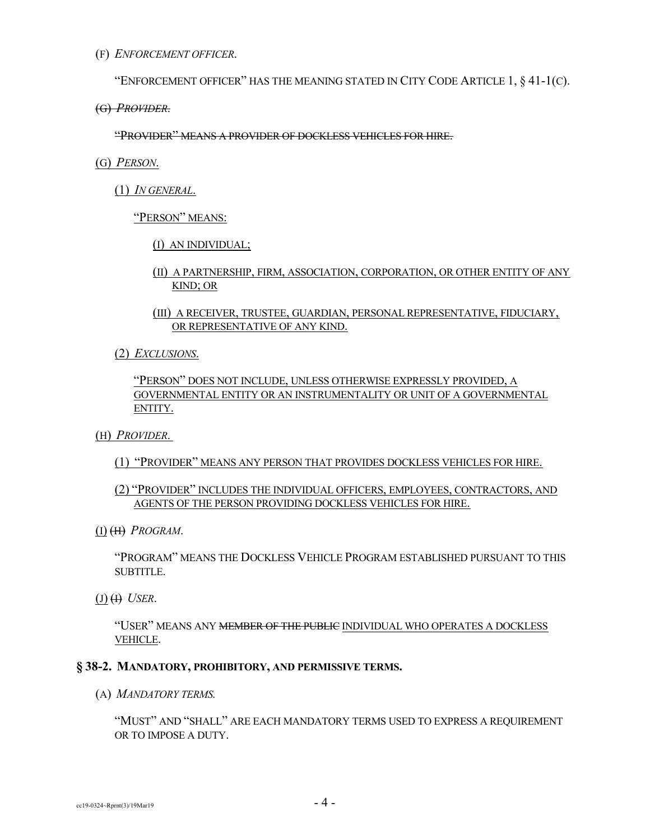(F) *ENFORCEMENT OFFICER*.

"ENFORCEMENT OFFICER" HAS THE MEANING STATED IN CITY CODE ARTICLE  $1, § 41-1(C)$ .

(G) *PROVIDER*.

"PROVIDER" MEANS A PROVIDER OF DOCKLESS VEHICLES FOR HIRE.

- (G) *PERSON*.
	- (1) *IN GENERAL*.

"PERSON" MEANS:

(I) AN INDIVIDUAL;

- (II) A PARTNERSHIP, FIRM, ASSOCIATION, CORPORATION, OR OTHER ENTITY OF ANY KIND; OR
- (III) A RECEIVER, TRUSTEE, GUARDIAN, PERSONAL REPRESENTATIVE, FIDUCIARY, OR REPRESENTATIVE OF ANY KIND.
- (2) *EXCLUSIONS*.

"PERSON" DOES NOT INCLUDE, UNLESS OTHERWISE EXPRESSLY PROVIDED, A GOVERNMENTAL ENTITY OR AN INSTRUMENTALITY OR UNIT OF A GOVERNMENTAL ENTITY.

- (H) *PROVIDER*.
	- (1) "PROVIDER" MEANS ANY PERSON THAT PROVIDES DOCKLESS VEHICLES FOR HIRE.
	- (2) "PROVIDER" INCLUDES THE INDIVIDUAL OFFICERS, EMPLOYEES, CONTRACTORS, AND AGENTS OF THE PERSON PROVIDING DOCKLESS VEHICLES FOR HIRE.
- (I) (H) *PROGRAM*.

"PROGRAM" MEANS THE DOCKLESS VEHICLE PROGRAM ESTABLISHED PURSUANT TO THIS SUBTITLE.

 $(J)$   $(H)$  *USER*.

"USER" MEANS ANY MEMBER OF THE PUBLIC INDIVIDUAL WHO OPERATES A DOCKLESS VEHICLE.

## **§ 38-2. MANDATORY, PROHIBITORY, AND PERMISSIVE TERMS.**

(A) *MANDATORY TERMS.*

"MUST" AND "SHALL" ARE EACH MANDATORY TERMS USED TO EXPRESS A REQUIREMENT OR TO IMPOSE A DUTY.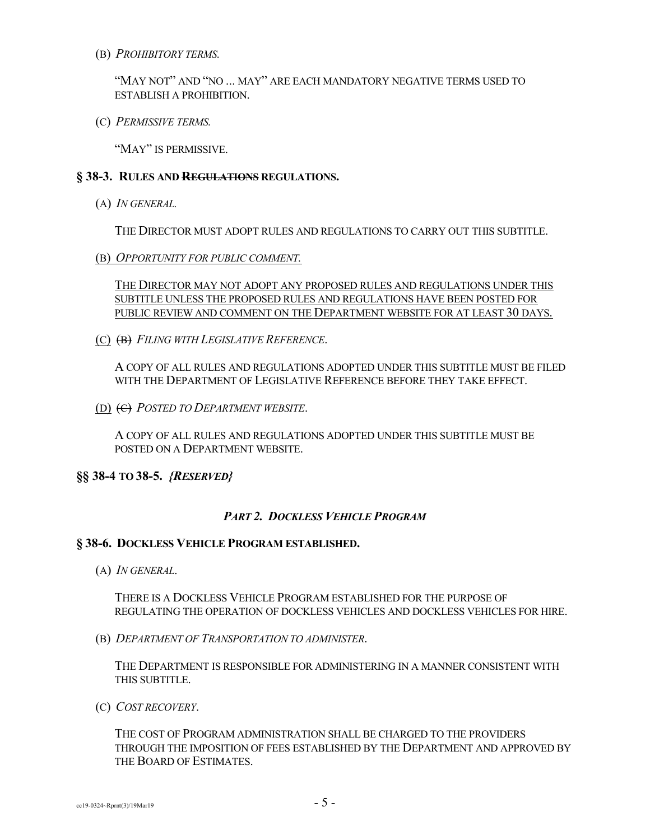(B) *PROHIBITORY TERMS.*

"MAY NOT" AND "NO ... MAY" ARE EACH MANDATORY NEGATIVE TERMS USED TO ESTABLISH A PROHIBITION.

(C) *PERMISSIVE TERMS.*

"MAY" IS PERMISSIVE.

## **§ 38-3. RULES AND REGULATIONS REGULATIONS.**

(A) *IN GENERAL.*

THE DIRECTOR MUST ADOPT RULES AND REGULATIONS TO CARRY OUT THIS SUBTITLE.

(B) *OPPORTUNITY FOR PUBLIC COMMENT.*

THE DIRECTOR MAY NOT ADOPT ANY PROPOSED RULES AND REGULATIONS UNDER THIS SUBTITLE UNLESS THE PROPOSED RULES AND REGULATIONS HAVE BEEN POSTED FOR PUBLIC REVIEW AND COMMENT ON THE DEPARTMENT WEBSITE FOR AT LEAST 30 DAYS.

(C) (B) *FILING WITH LEGISLATIVE REFERENCE*.

A COPY OF ALL RULES AND REGULATIONS ADOPTED UNDER THIS SUBTITLE MUST BE FILED WITH THE DEPARTMENT OF LEGISLATIVE REFERENCE BEFORE THEY TAKE EFFECT.

(D) (C) *POSTED TO DEPARTMENT WEBSITE*.

A COPY OF ALL RULES AND REGULATIONS ADOPTED UNDER THIS SUBTITLE MUST BE POSTED ON A DEPARTMENT WEBSITE.

## **§§ 38-4 TO 38-5.** *{RESERVED}*

## *PART 2. DOCKLESS VEHICLE PROGRAM*

## **§ 38-6. DOCKLESS VEHICLE PROGRAM ESTABLISHED.**

(A) *IN GENERAL*.

THERE IS A DOCKLESS VEHICLE PROGRAM ESTABLISHED FOR THE PURPOSE OF REGULATING THE OPERATION OF DOCKLESS VEHICLES AND DOCKLESS VEHICLES FOR HIRE.

(B) *DEPARTMENT OF TRANSPORTATION TO ADMINISTER*.

THE DEPARTMENT IS RESPONSIBLE FOR ADMINISTERING IN A MANNER CONSISTENT WITH THIS SUBTITLE.

(C) *COST RECOVERY*.

THE COST OF PROGRAM ADMINISTRATION SHALL BE CHARGED TO THE PROVIDERS THROUGH THE IMPOSITION OF FEES ESTABLISHED BY THE DEPARTMENT AND APPROVED BY THE BOARD OF ESTIMATES.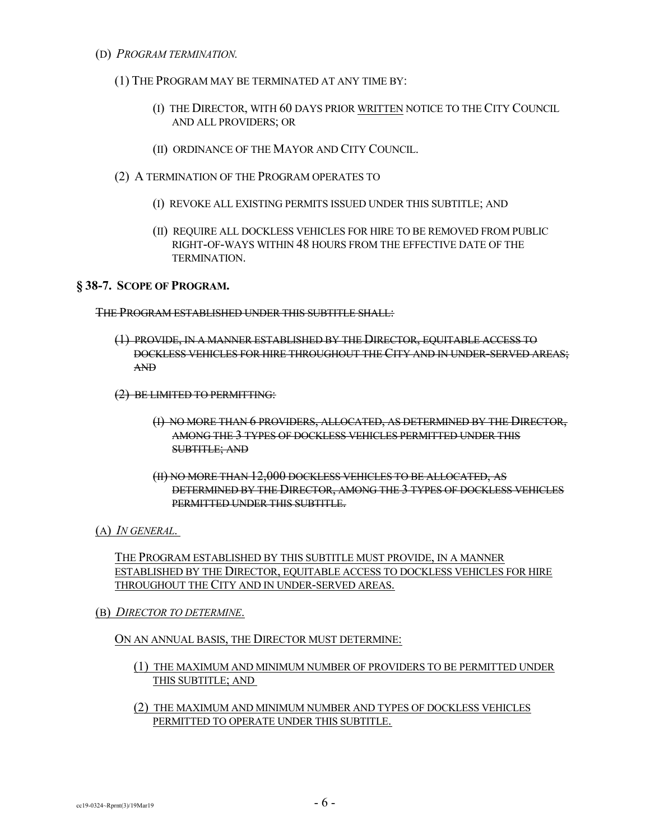- (D) *PROGRAM TERMINATION.*
	- (1) THE PROGRAM MAY BE TERMINATED AT ANY TIME BY:
		- (I) THE DIRECTOR, WITH 60 DAYS PRIOR WRITTEN NOTICE TO THE CITY COUNCIL AND ALL PROVIDERS; OR
		- (II) ORDINANCE OF THE MAYOR AND CITY COUNCIL.
	- (2) A TERMINATION OF THE PROGRAM OPERATES TO
		- (I) REVOKE ALL EXISTING PERMITS ISSUED UNDER THIS SUBTITLE; AND
		- (II) REQUIRE ALL DOCKLESS VEHICLES FOR HIRE TO BE REMOVED FROM PUBLIC RIGHT-OF-WAYS WITHIN 48 HOURS FROM THE EFFECTIVE DATE OF THE TERMINATION.

## **§ 38-7. SCOPE OF PROGRAM.**

THE PROGRAM ESTABLISHED UNDER THIS SUBTITLE SHALL:

- (1) PROVIDE, IN A MANNER ESTABLISHED BY THE DIRECTOR, EQUITABLE ACCESS TO DOCKLESS VEHICLES FOR HIRE THROUGHOUT THE CITY AND IN UNDER-SERVED AREAS; AND
- (2) BE LIMITED TO PERMITTING:
	- (I) NO MORE THAN 6 PROVIDERS, ALLOCATED, AS DETERMINED BY THE DIRECTOR, AMONG THE 3 TYPES OF DOCKLESS VEHICLES PERMITTED UNDER THIS SUBTITLE; AND
	- (II) NO MORE THAN 12,000 DOCKLESS VEHICLES TO BE ALLOCATED, AS DETERMINED BY THE DIRECTOR, AMONG THE 3 TYPES OF DOCKLESS VEHICLES PERMITTED UNDER THIS SUBTITLE.
- (A) *IN GENERAL*.

THE PROGRAM ESTABLISHED BY THIS SUBTITLE MUST PROVIDE, IN A MANNER ESTABLISHED BY THE DIRECTOR, EQUITABLE ACCESS TO DOCKLESS VEHICLES FOR HIRE THROUGHOUT THE CITY AND IN UNDER-SERVED AREAS.

(B) *DIRECTOR TO DETERMINE*.

#### ON AN ANNUAL BASIS, THE DIRECTOR MUST DETERMINE:

- (1) THE MAXIMUM AND MINIMUM NUMBER OF PROVIDERS TO BE PERMITTED UNDER THIS SUBTITLE; AND
- (2) THE MAXIMUM AND MINIMUM NUMBER AND TYPES OF DOCKLESS VEHICLES PERMITTED TO OPERATE UNDER THIS SUBTITLE.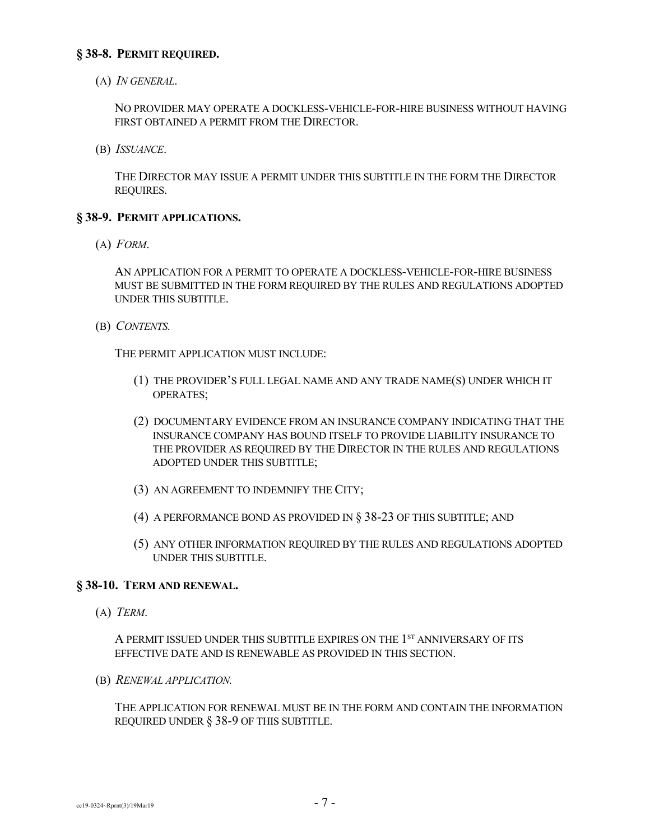## **§ 38-8. PERMIT REQUIRED.**

(A) *IN GENERAL*.

NO PROVIDER MAY OPERATE A DOCKLESS-VEHICLE-FOR-HIRE BUSINESS WITHOUT HAVING FIRST OBTAINED A PERMIT FROM THE DIRECTOR.

(B) *ISSUANCE*.

THE DIRECTOR MAY ISSUE A PERMIT UNDER THIS SUBTITLE IN THE FORM THE DIRECTOR REQUIRES.

## **§ 38-9. PERMIT APPLICATIONS.**

(A) *FORM*.

AN APPLICATION FOR A PERMIT TO OPERATE A DOCKLESS-VEHICLE-FOR-HIRE BUSINESS MUST BE SUBMITTED IN THE FORM REQUIRED BY THE RULES AND REGULATIONS ADOPTED UNDER THIS SUBTITLE.

(B) *CONTENTS.*

THE PERMIT APPLICATION MUST INCLUDE:

- (1) THE PROVIDER'S FULL LEGAL NAME AND ANY TRADE NAME(S) UNDER WHICH IT OPERATES;
- (2) DOCUMENTARY EVIDENCE FROM AN INSURANCE COMPANY INDICATING THAT THE INSURANCE COMPANY HAS BOUND ITSELF TO PROVIDE LIABILITY INSURANCE TO THE PROVIDER AS REQUIRED BY THE DIRECTOR IN THE RULES AND REGULATIONS ADOPTED UNDER THIS SUBTITLE;
- (3) AN AGREEMENT TO INDEMNIFY THE CITY;
- (4) A PERFORMANCE BOND AS PROVIDED IN § 38-23 OF THIS SUBTITLE; AND
- (5) ANY OTHER INFORMATION REQUIRED BY THE RULES AND REGULATIONS ADOPTED UNDER THIS SUBTITLE.

## **§ 38-10. TERM AND RENEWAL.**

(A) *TERM*.

A PERMIT ISSUED UNDER THIS SUBTITLE EXPIRES ON THE 1<sup>st</sup> ANNIVERSARY OF ITS EFFECTIVE DATE AND IS RENEWABLE AS PROVIDED IN THIS SECTION.

(B) *RENEWAL APPLICATION.*

THE APPLICATION FOR RENEWAL MUST BE IN THE FORM AND CONTAIN THE INFORMATION REQUIRED UNDER § 38-9 OF THIS SUBTITLE.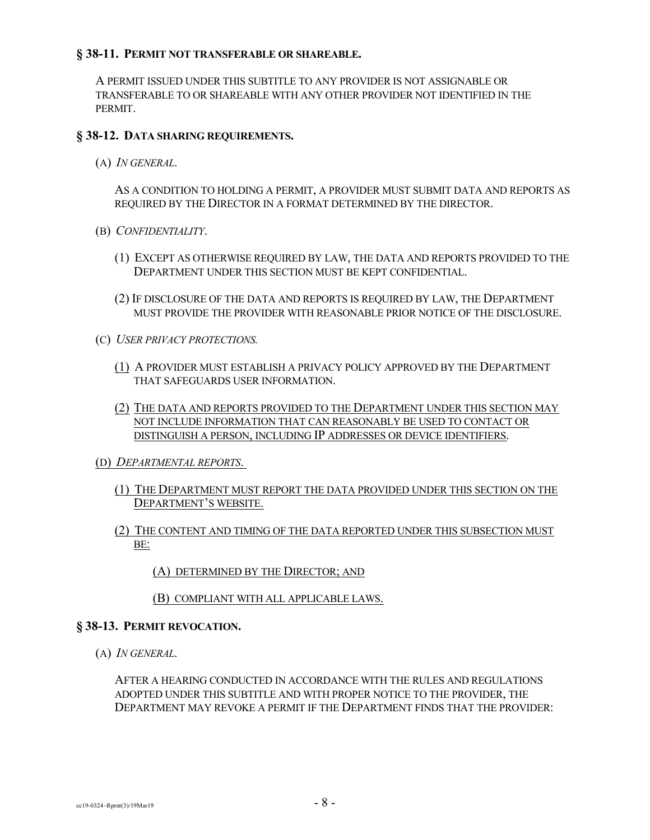## **§ 38-11. PERMIT NOT TRANSFERABLE OR SHAREABLE.**

A PERMIT ISSUED UNDER THIS SUBTITLE TO ANY PROVIDER IS NOT ASSIGNABLE OR TRANSFERABLE TO OR SHAREABLE WITH ANY OTHER PROVIDER NOT IDENTIFIED IN THE PERMIT.

## **§ 38-12. DATA SHARING REQUIREMENTS.**

(A) *IN GENERAL*.

AS A CONDITION TO HOLDING A PERMIT, A PROVIDER MUST SUBMIT DATA AND REPORTS AS REQUIRED BY THE DIRECTOR IN A FORMAT DETERMINED BY THE DIRECTOR.

- (B) *CONFIDENTIALITY*.
	- (1) EXCEPT AS OTHERWISE REQUIRED BY LAW, THE DATA AND REPORTS PROVIDED TO THE DEPARTMENT UNDER THIS SECTION MUST BE KEPT CONFIDENTIAL.
	- (2) IF DISCLOSURE OF THE DATA AND REPORTS IS REQUIRED BY LAW, THE DEPARTMENT MUST PROVIDE THE PROVIDER WITH REASONABLE PRIOR NOTICE OF THE DISCLOSURE.
- (C) *USER PRIVACY PROTECTIONS.*
	- (1) A PROVIDER MUST ESTABLISH A PRIVACY POLICY APPROVED BY THE DEPARTMENT THAT SAFEGUARDS USER INFORMATION.
	- (2) THE DATA AND REPORTS PROVIDED TO THE DEPARTMENT UNDER THIS SECTION MAY NOT INCLUDE INFORMATION THAT CAN REASONABLY BE USED TO CONTACT OR DISTINGUISH A PERSON, INCLUDING IP ADDRESSES OR DEVICE IDENTIFIERS.
- (D) *DEPARTMENTAL REPORTS*.
	- (1) THE DEPARTMENT MUST REPORT THE DATA PROVIDED UNDER THIS SECTION ON THE DEPARTMENT'S WEBSITE.
	- (2) THE CONTENT AND TIMING OF THE DATA REPORTED UNDER THIS SUBSECTION MUST BE:

(A) DETERMINED BY THE DIRECTOR; AND

(B) COMPLIANT WITH ALL APPLICABLE LAWS.

## **§ 38-13. PERMIT REVOCATION.**

(A) *IN GENERAL*.

AFTER A HEARING CONDUCTED IN ACCORDANCE WITH THE RULES AND REGULATIONS ADOPTED UNDER THIS SUBTITLE AND WITH PROPER NOTICE TO THE PROVIDER, THE DEPARTMENT MAY REVOKE A PERMIT IF THE DEPARTMENT FINDS THAT THE PROVIDER: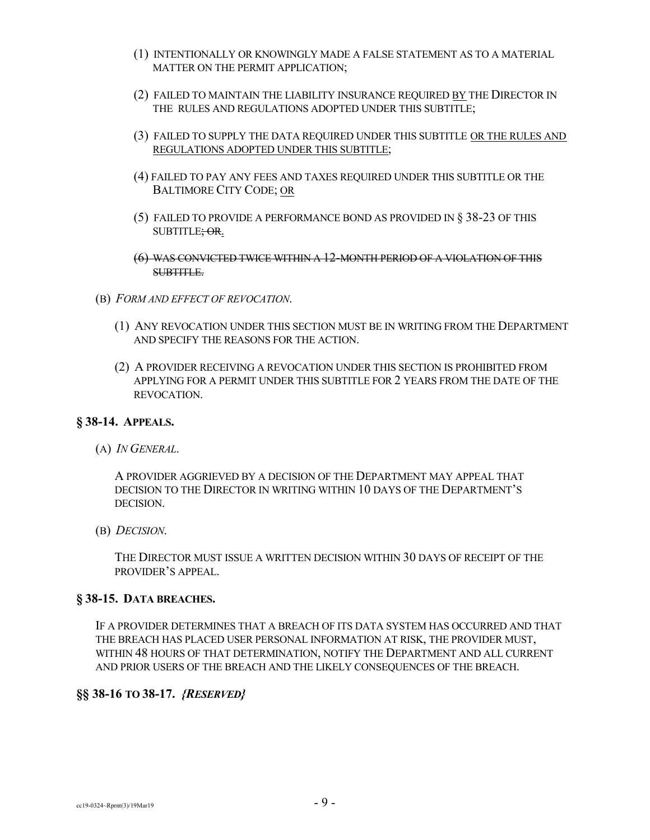- (1) INTENTIONALLY OR KNOWINGLY MADE A FALSE STATEMENT AS TO A MATERIAL MATTER ON THE PERMIT APPLICATION;
- (2) FAILED TO MAINTAIN THE LIABILITY INSURANCE REQUIRED BY THE DIRECTOR IN THE RULES AND REGULATIONS ADOPTED UNDER THIS SUBTITLE;
- (3) FAILED TO SUPPLY THE DATA REQUIRED UNDER THIS SUBTITLE OR THE RULES AND REGULATIONS ADOPTED UNDER THIS SUBTITLE;
- (4) FAILED TO PAY ANY FEES AND TAXES REQUIRED UNDER THIS SUBTITLE OR THE BALTIMORE CITY CODE; OR
- (5) FAILED TO PROVIDE A PERFORMANCE BOND AS PROVIDED IN § 38-23 OF THIS SUBTITLE; OR.
- (6) WAS CONVICTED TWICE WITHIN A 12-MONTH PERIOD OF A VIOLATION OF THIS SUBTITLE.
- (B) *FORM AND EFFECT OF REVOCATION*.
	- (1) ANY REVOCATION UNDER THIS SECTION MUST BE IN WRITING FROM THE DEPARTMENT AND SPECIFY THE REASONS FOR THE ACTION.
	- (2) A PROVIDER RECEIVING A REVOCATION UNDER THIS SECTION IS PROHIBITED FROM APPLYING FOR A PERMIT UNDER THIS SUBTITLE FOR 2 YEARS FROM THE DATE OF THE REVOCATION.

## **§ 38-14. APPEALS.**

(A) *IN GENERAL*.

A PROVIDER AGGRIEVED BY A DECISION OF THE DEPARTMENT MAY APPEAL THAT DECISION TO THE DIRECTOR IN WRITING WITHIN 10 DAYS OF THE DEPARTMENT'S DECISION.

(B) *DECISION*.

THE DIRECTOR MUST ISSUE A WRITTEN DECISION WITHIN 30 DAYS OF RECEIPT OF THE PROVIDER'S APPEAL.

#### **§ 38-15. DATA BREACHES.**

IF A PROVIDER DETERMINES THAT A BREACH OF ITS DATA SYSTEM HAS OCCURRED AND THAT THE BREACH HAS PLACED USER PERSONAL INFORMATION AT RISK, THE PROVIDER MUST, WITHIN 48 HOURS OF THAT DETERMINATION, NOTIFY THE DEPARTMENT AND ALL CURRENT AND PRIOR USERS OF THE BREACH AND THE LIKELY CONSEQUENCES OF THE BREACH.

## **§§ 38-16 TO 38-17.** *{RESERVED}*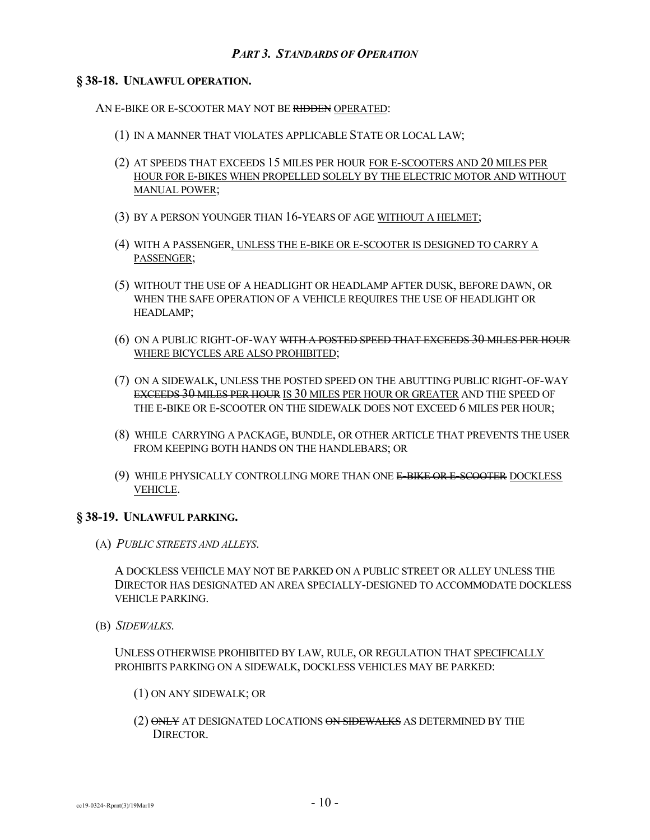## **§ 38-18. UNLAWFUL OPERATION.**

AN E-BIKE OR E-SCOOTER MAY NOT BE RIDDEN OPERATED:

- (1) IN A MANNER THAT VIOLATES APPLICABLE STATE OR LOCAL LAW;
- (2) AT SPEEDS THAT EXCEEDS 15 MILES PER HOUR FOR E-SCOOTERS AND 20 MILES PER HOUR FOR E-BIKES WHEN PROPELLED SOLELY BY THE ELECTRIC MOTOR AND WITHOUT MANUAL POWER;
- (3) BY A PERSON YOUNGER THAN 16-YEARS OF AGE WITHOUT A HELMET;
- (4) WITH A PASSENGER, UNLESS THE E-BIKE OR E-SCOOTER IS DESIGNED TO CARRY A PASSENGER;
- (5) WITHOUT THE USE OF A HEADLIGHT OR HEADLAMP AFTER DUSK, BEFORE DAWN, OR WHEN THE SAFE OPERATION OF A VEHICLE REQUIRES THE USE OF HEADLIGHT OR HEADLAMP;
- (6) ON A PUBLIC RIGHT-OF-WAY WITH A POSTED SPEED THAT EXCEEDS 30 MILES PER HOUR WHERE BICYCLES ARE ALSO PROHIBITED;
- (7) ON A SIDEWALK, UNLESS THE POSTED SPEED ON THE ABUTTING PUBLIC RIGHT-OF-WAY EXCEEDS 30 MILES PER HOUR IS 30 MILES PER HOUR OR GREATER AND THE SPEED OF THE E-BIKE OR E-SCOOTER ON THE SIDEWALK DOES NOT EXCEED 6 MILES PER HOUR;
- (8) WHILE CARRYING A PACKAGE, BUNDLE, OR OTHER ARTICLE THAT PREVENTS THE USER FROM KEEPING BOTH HANDS ON THE HANDLEBARS; OR
- (9) WHILE PHYSICALLY CONTROLLING MORE THAN ONE E-BIKE OR E-SCOOTER DOCKLESS VEHICLE.

## **§ 38-19. UNLAWFUL PARKING.**

(A) *PUBLIC STREETS AND ALLEYS*.

A DOCKLESS VEHICLE MAY NOT BE PARKED ON A PUBLIC STREET OR ALLEY UNLESS THE DIRECTOR HAS DESIGNATED AN AREA SPECIALLY-DESIGNED TO ACCOMMODATE DOCKLESS VEHICLE PARKING.

(B) *SIDEWALKS*.

UNLESS OTHERWISE PROHIBITED BY LAW, RULE, OR REGULATION THAT SPECIFICALLY PROHIBITS PARKING ON A SIDEWALK, DOCKLESS VEHICLES MAY BE PARKED:

- (1) ON ANY SIDEWALK; OR
- (2) ONLY AT DESIGNATED LOCATIONS ON SIDEWALKS AS DETERMINED BY THE **DIRECTOR**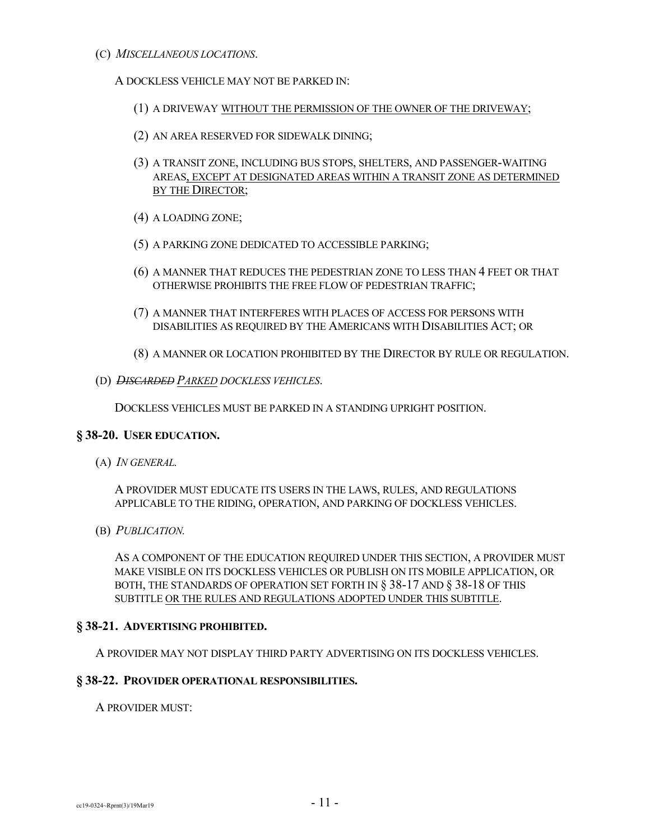(C) *MISCELLANEOUS LOCATIONS*.

## A DOCKLESS VEHICLE MAY NOT BE PARKED IN:

- (1) A DRIVEWAY WITHOUT THE PERMISSION OF THE OWNER OF THE DRIVEWAY;
- (2) AN AREA RESERVED FOR SIDEWALK DINING;
- (3) A TRANSIT ZONE, INCLUDING BUS STOPS, SHELTERS, AND PASSENGER-WAITING AREAS, EXCEPT AT DESIGNATED AREAS WITHIN A TRANSIT ZONE AS DETERMINED BY THE DIRECTOR;
- (4) A LOADING ZONE;
- (5) A PARKING ZONE DEDICATED TO ACCESSIBLE PARKING;
- (6) A MANNER THAT REDUCES THE PEDESTRIAN ZONE TO LESS THAN 4 FEET OR THAT OTHERWISE PROHIBITS THE FREE FLOW OF PEDESTRIAN TRAFFIC;
- (7) A MANNER THAT INTERFERES WITH PLACES OF ACCESS FOR PERSONS WITH DISABILITIES AS REQUIRED BY THE AMERICANS WITH DISABILITIES ACT; OR
- (8) A MANNER OR LOCATION PROHIBITED BY THE DIRECTOR BY RULE OR REGULATION.
- (D) *DISCARDED PARKED DOCKLESS VEHICLES*.

DOCKLESS VEHICLES MUST BE PARKED IN A STANDING UPRIGHT POSITION.

## **§ 38-20. USER EDUCATION.**

(A) *IN GENERAL.*

A PROVIDER MUST EDUCATE ITS USERS IN THE LAWS, RULES, AND REGULATIONS APPLICABLE TO THE RIDING, OPERATION, AND PARKING OF DOCKLESS VEHICLES.

(B) *PUBLICATION.*

AS A COMPONENT OF THE EDUCATION REQUIRED UNDER THIS SECTION, A PROVIDER MUST MAKE VISIBLE ON ITS DOCKLESS VEHICLES OR PUBLISH ON ITS MOBILE APPLICATION, OR BOTH, THE STANDARDS OF OPERATION SET FORTH IN § 38-17 AND § 38-18 OF THIS SUBTITLE OR THE RULES AND REGULATIONS ADOPTED UNDER THIS SUBTITLE.

## **§ 38-21. ADVERTISING PROHIBITED.**

A PROVIDER MAY NOT DISPLAY THIRD PARTY ADVERTISING ON ITS DOCKLESS VEHICLES.

## **§ 38-22. PROVIDER OPERATIONAL RESPONSIBILITIES.**

A PROVIDER MUST: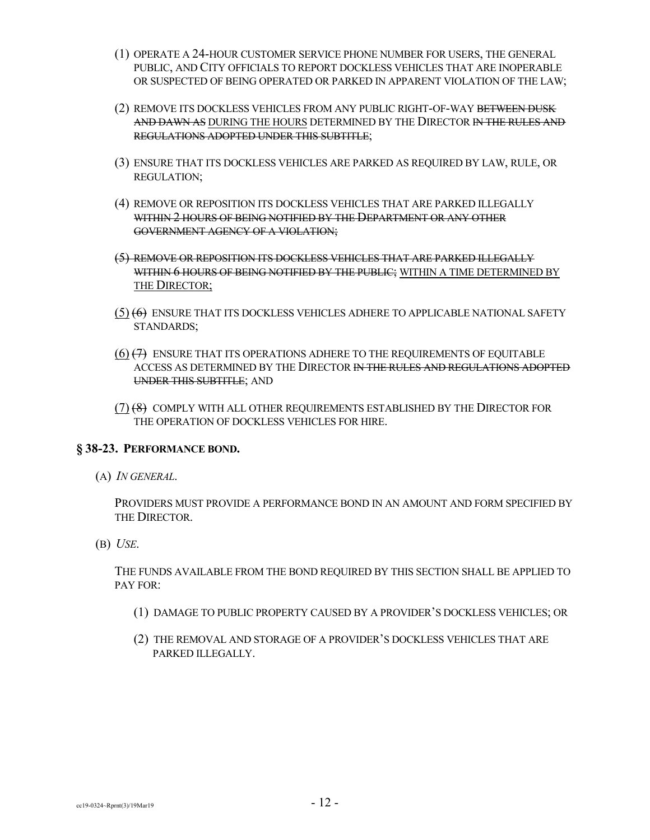- (1) OPERATE A 24-HOUR CUSTOMER SERVICE PHONE NUMBER FOR USERS, THE GENERAL PUBLIC, AND CITY OFFICIALS TO REPORT DOCKLESS VEHICLES THAT ARE INOPERABLE OR SUSPECTED OF BEING OPERATED OR PARKED IN APPARENT VIOLATION OF THE LAW;
- (2) REMOVE ITS DOCKLESS VEHICLES FROM ANY PUBLIC RIGHT-OF-WAY BETWEEN DUSK AND DAWN AS DURING THE HOURS DETERMINED BY THE DIRECTOR IN THE RULES AND REGULATIONS ADOPTED UNDER THIS SUBTITLE;
- (3) ENSURE THAT ITS DOCKLESS VEHICLES ARE PARKED AS REQUIRED BY LAW, RULE, OR REGULATION;
- (4) REMOVE OR REPOSITION ITS DOCKLESS VEHICLES THAT ARE PARKED ILLEGALLY WITHIN 2 HOURS OF BEING NOTIFIED BY THE DEPARTMENT OR ANY OTHER GOVERNMENT AGENCY OF A VIOLATION;
- (5) REMOVE OR REPOSITION ITS DOCKLESS VEHICLES THAT ARE PARKED ILLEGALLY WITHIN 6 HOURS OF BEING NOTIFIED BY THE PUBLIC; WITHIN A TIME DETERMINED BY THE DIRECTOR;
- (5) (6) ENSURE THAT ITS DOCKLESS VEHICLES ADHERE TO APPLICABLE NATIONAL SAFETY STANDARDS;
- (6) (7) ENSURE THAT ITS OPERATIONS ADHERE TO THE REQUIREMENTS OF EQUITABLE ACCESS AS DETERMINED BY THE DIRECTOR IN THE RULES AND REGULATIONS ADOPTED UNDER THIS SUBTITLE; AND
- (7) (8) COMPLY WITH ALL OTHER REQUIREMENTS ESTABLISHED BY THE DIRECTOR FOR THE OPERATION OF DOCKLESS VEHICLES FOR HIRE.

## **§ 38-23. PERFORMANCE BOND.**

(A) *IN GENERAL*.

PROVIDERS MUST PROVIDE A PERFORMANCE BOND IN AN AMOUNT AND FORM SPECIFIED BY THE DIRECTOR.

(B) *USE*.

THE FUNDS AVAILABLE FROM THE BOND REQUIRED BY THIS SECTION SHALL BE APPLIED TO PAY FOR:

- (1) DAMAGE TO PUBLIC PROPERTY CAUSED BY A PROVIDER'S DOCKLESS VEHICLES; OR
- (2) THE REMOVAL AND STORAGE OF A PROVIDER'S DOCKLESS VEHICLES THAT ARE PARKED ILLEGALLY.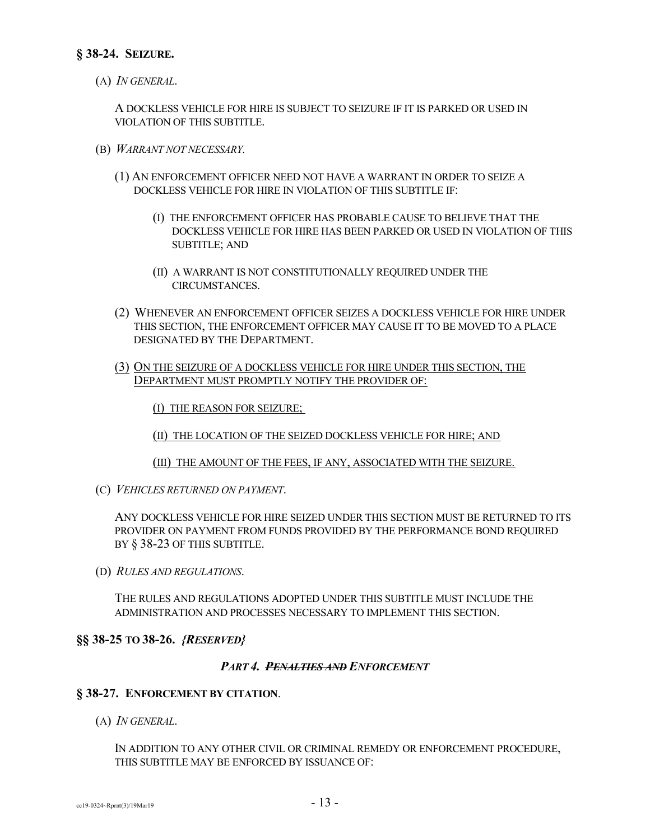(A) *IN GENERAL*.

A DOCKLESS VEHICLE FOR HIRE IS SUBJECT TO SEIZURE IF IT IS PARKED OR USED IN VIOLATION OF THIS SUBTITLE.

- (B) *WARRANT NOT NECESSARY.*
	- (1) AN ENFORCEMENT OFFICER NEED NOT HAVE A WARRANT IN ORDER TO SEIZE A DOCKLESS VEHICLE FOR HIRE IN VIOLATION OF THIS SUBTITLE IF:
		- (I) THE ENFORCEMENT OFFICER HAS PROBABLE CAUSE TO BELIEVE THAT THE DOCKLESS VEHICLE FOR HIRE HAS BEEN PARKED OR USED IN VIOLATION OF THIS SUBTITLE; AND
		- (II) A WARRANT IS NOT CONSTITUTIONALLY REQUIRED UNDER THE CIRCUMSTANCES.
	- (2) WHENEVER AN ENFORCEMENT OFFICER SEIZES A DOCKLESS VEHICLE FOR HIRE UNDER THIS SECTION, THE ENFORCEMENT OFFICER MAY CAUSE IT TO BE MOVED TO A PLACE DESIGNATED BY THE DEPARTMENT.
	- (3) ON THE SEIZURE OF A DOCKLESS VEHICLE FOR HIRE UNDER THIS SECTION, THE DEPARTMENT MUST PROMPTLY NOTIFY THE PROVIDER OF:

(I) THE REASON FOR SEIZURE;

(II) THE LOCATION OF THE SEIZED DOCKLESS VEHICLE FOR HIRE; AND

(III) THE AMOUNT OF THE FEES, IF ANY, ASSOCIATED WITH THE SEIZURE.

(C) *VEHICLES RETURNED ON PAYMENT*.

ANY DOCKLESS VEHICLE FOR HIRE SEIZED UNDER THIS SECTION MUST BE RETURNED TO ITS PROVIDER ON PAYMENT FROM FUNDS PROVIDED BY THE PERFORMANCE BOND REQUIRED BY § 38-23 OF THIS SUBTITLE.

(D) *RULES AND REGULATIONS*.

THE RULES AND REGULATIONS ADOPTED UNDER THIS SUBTITLE MUST INCLUDE THE ADMINISTRATION AND PROCESSES NECESSARY TO IMPLEMENT THIS SECTION.

# **§§ 38-25 TO 38-26.** *{RESERVED}*

## *PART 4. PENALTIES AND ENFORCEMENT*

## **§ 38-27. ENFORCEMENT BY CITATION**.

(A) *IN GENERAL*.

IN ADDITION TO ANY OTHER CIVIL OR CRIMINAL REMEDY OR ENFORCEMENT PROCEDURE, THIS SUBTITLE MAY BE ENFORCED BY ISSUANCE OF: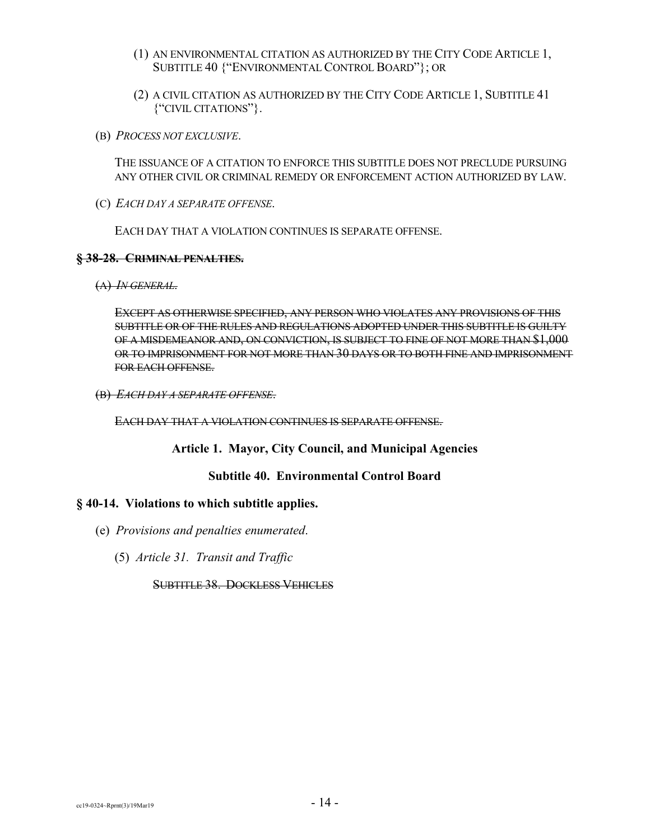- (1) AN ENVIRONMENTAL CITATION AS AUTHORIZED BY THE CITY CODE ARTICLE 1, SUBTITLE 40 {"ENVIRONMENTAL CONTROL BOARD"}; OR
- (2) A CIVIL CITATION AS AUTHORIZED BY THE CITY CODE ARTICLE 1, SUBTITLE 41 {"CIVIL CITATIONS"}.
- (B) *PROCESS NOT EXCLUSIVE*.

THE ISSUANCE OF A CITATION TO ENFORCE THIS SUBTITLE DOES NOT PRECLUDE PURSUING ANY OTHER CIVIL OR CRIMINAL REMEDY OR ENFORCEMENT ACTION AUTHORIZED BY LAW.

(C) *EACH DAY A SEPARATE OFFENSE*.

EACH DAY THAT A VIOLATION CONTINUES IS SEPARATE OFFENSE.

## **§ 38-28. CRIMINAL PENALTIES.**

(A) *IN GENERAL*.

EXCEPT AS OTHERWISE SPECIFIED, ANY PERSON WHO VIOLATES ANY PROVISIONS OF THIS SUBTITLE OR OF THE RULES AND REGULATIONS ADOPTED UNDER THIS SUBTITLE IS GUILTY OF A MISDEMEANOR AND, ON CONVICTION, IS SUBJECT TO FINE OF NOT MORE THAN \$1,000 OR TO IMPRISONMENT FOR NOT MORE THAN 30 DAYS OR TO BOTH FINE AND IMPRISONMENT FOR EACH OFFENSE.

(B) *EACH DAY A SEPARATE OFFENSE*.

EACH DAY THAT A VIOLATION CONTINUES IS SEPARATE OFFENSE.

**Article 1. Mayor, City Council, and Municipal Agencies**

## **Subtitle 40. Environmental Control Board**

## **§ 40-14. Violations to which subtitle applies.**

- (e) *Provisions and penalties enumerated*.
	- (5) *Article 31. Transit and Traffic*

SUBTITLE 38. DOCKLESS VEHICLES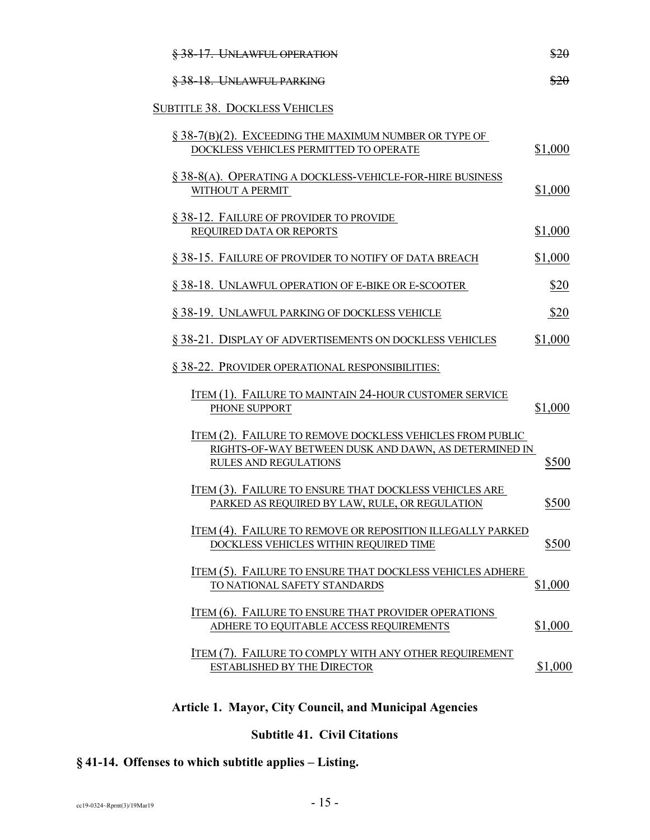| §38-17. UNLAWFUL OPERATION                                                                                                                  | \$20    |
|---------------------------------------------------------------------------------------------------------------------------------------------|---------|
| §38-18. UNLAWFUL PARKING                                                                                                                    | \$20    |
| <b>SUBTITLE 38. DOCKLESS VEHICLES</b>                                                                                                       |         |
| $\S$ 38-7(B)(2). EXCEEDING THE MAXIMUM NUMBER OR TYPE OF<br>DOCKLESS VEHICLES PERMITTED TO OPERATE                                          | \$1,000 |
| $\S$ 38-8(A). OPERATING A DOCKLESS-VEHICLE-FOR-HIRE BUSINESS<br>WITHOUT A PERMIT                                                            | \$1,000 |
| § 38-12. FAILURE OF PROVIDER TO PROVIDE<br>REQUIRED DATA OR REPORTS                                                                         | \$1,000 |
| § 38-15. FAILURE OF PROVIDER TO NOTIFY OF DATA BREACH                                                                                       | \$1,000 |
| § 38-18. UNLAWFUL OPERATION OF E-BIKE OR E-SCOOTER                                                                                          | \$20    |
| § 38-19. UNLAWFUL PARKING OF DOCKLESS VEHICLE                                                                                               | \$20    |
| § 38-21. DISPLAY OF ADVERTISEMENTS ON DOCKLESS VEHICLES                                                                                     | \$1,000 |
| § 38-22. PROVIDER OPERATIONAL RESPONSIBILITIES:                                                                                             |         |
| ITEM (1). FAILURE TO MAINTAIN 24-HOUR CUSTOMER SERVICE<br>PHONE SUPPORT                                                                     | \$1,000 |
| ITEM (2). FAILURE TO REMOVE DOCKLESS VEHICLES FROM PUBLIC<br>RIGHTS-OF-WAY BETWEEN DUSK AND DAWN, AS DETERMINED IN<br>RULES AND REGULATIONS | \$500   |
| ITEM (3). FAILURE TO ENSURE THAT DOCKLESS VEHICLES ARE<br>PARKED AS REQUIRED BY LAW, RULE, OR REGULATION                                    | \$500   |
| ITEM (4). FAILURE TO REMOVE OR REPOSITION ILLEGALLY PARKED<br>DOCKLESS VEHICLES WITHIN REQUIRED TIME                                        | \$500   |
| ITEM (5). FAILURE TO ENSURE THAT DOCKLESS VEHICLES ADHERE<br>TO NATIONAL SAFETY STANDARDS                                                   | \$1,000 |
| ITEM (6). FAILURE TO ENSURE THAT PROVIDER OPERATIONS<br>ADHERE TO EQUITABLE ACCESS REQUIREMENTS                                             | \$1,000 |
| ITEM (7). FAILURE TO COMPLY WITH ANY OTHER REQUIREMENT<br><b>ESTABLISHED BY THE DIRECTOR</b>                                                | \$1,000 |
|                                                                                                                                             |         |

# **Article 1. Mayor, City Council, and Municipal Agencies**

# **Subtitle 41. Civil Citations**

# **§ 41-14. Offenses to which subtitle applies – Listing.**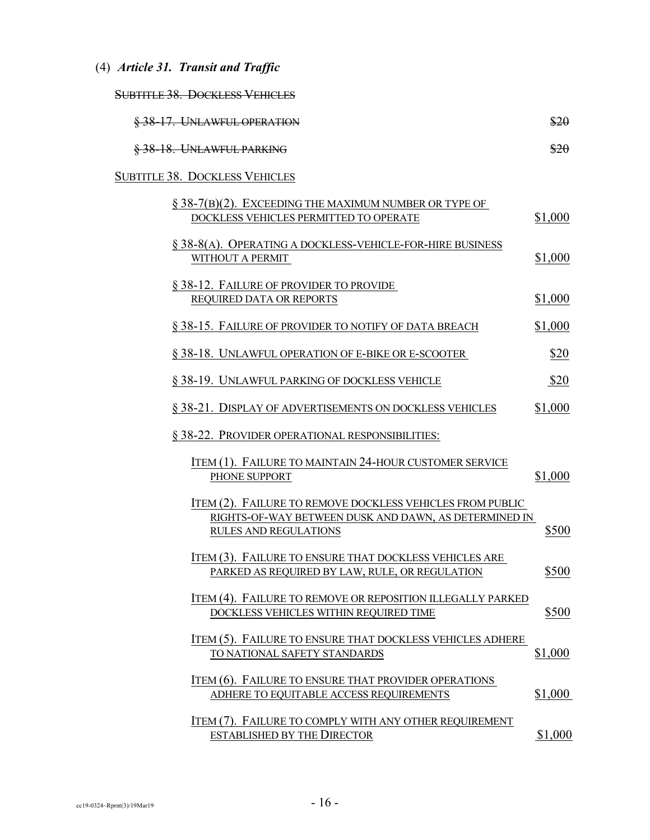(4) *Article 31. Transit and Traffic*

| $\alpha$ idtite to $\alpha$ and $\alpha$ and $\alpha$ and $\alpha$<br><u>SUDITILE JO. DUCKLESS VEHICLES</u> |  |
|-------------------------------------------------------------------------------------------------------------|--|
|                                                                                                             |  |

| §38-17. UNLAWFUL OPERATION                                                                                                                  | \$20    |
|---------------------------------------------------------------------------------------------------------------------------------------------|---------|
| §38-18. UNLAWFUL PARKING                                                                                                                    | \$20    |
| <b>SUBTITLE 38. DOCKLESS VEHICLES</b>                                                                                                       |         |
| $\S$ 38-7(B)(2). EXCEEDING THE MAXIMUM NUMBER OR TYPE OF<br>DOCKLESS VEHICLES PERMITTED TO OPERATE                                          | \$1,000 |
| § 38-8(A). OPERATING A DOCKLESS-VEHICLE-FOR-HIRE BUSINESS<br>WITHOUT A PERMIT                                                               | \$1,000 |
| § 38-12. FAILURE OF PROVIDER TO PROVIDE<br>REQUIRED DATA OR REPORTS                                                                         | \$1,000 |
| § 38-15. FAILURE OF PROVIDER TO NOTIFY OF DATA BREACH                                                                                       | \$1,000 |
| §38-18. UNLAWFUL OPERATION OF E-BIKE OR E-SCOOTER                                                                                           | \$20    |
| § 38-19. UNLAWFUL PARKING OF DOCKLESS VEHICLE                                                                                               | \$20    |
| § 38-21. DISPLAY OF ADVERTISEMENTS ON DOCKLESS VEHICLES                                                                                     | \$1,000 |
| § 38-22. PROVIDER OPERATIONAL RESPONSIBILITIES:                                                                                             |         |
| ITEM (1). FAILURE TO MAINTAIN 24-HOUR CUSTOMER SERVICE<br>PHONE SUPPORT                                                                     | \$1,000 |
| ITEM (2). FAILURE TO REMOVE DOCKLESS VEHICLES FROM PUBLIC<br>RIGHTS-OF-WAY BETWEEN DUSK AND DAWN, AS DETERMINED IN<br>RULES AND REGULATIONS | \$500   |
| ITEM (3). FAILURE TO ENSURE THAT DOCKLESS VEHICLES ARE<br>PARKED AS REQUIRED BY LAW, RULE, OR REGULATION                                    | \$500   |
| ITEM (4). FAILURE TO REMOVE OR REPOSITION ILLEGALLY PARKED<br>DOCKLESS VEHICLES WITHIN REQUIRED TIME                                        | \$500   |
| ITEM (5). FAILURE TO ENSURE THAT DOCKLESS VEHICLES ADHERE<br>TO NATIONAL SAFETY STANDARDS                                                   | \$1,000 |
| ITEM (6). FAILURE TO ENSURE THAT PROVIDER OPERATIONS<br>ADHERE TO EQUITABLE ACCESS REQUIREMENTS                                             | \$1,000 |
| ITEM (7). FAILURE TO COMPLY WITH ANY OTHER REQUIREMENT<br><b>ESTABLISHED BY THE DIRECTOR</b>                                                | \$1,000 |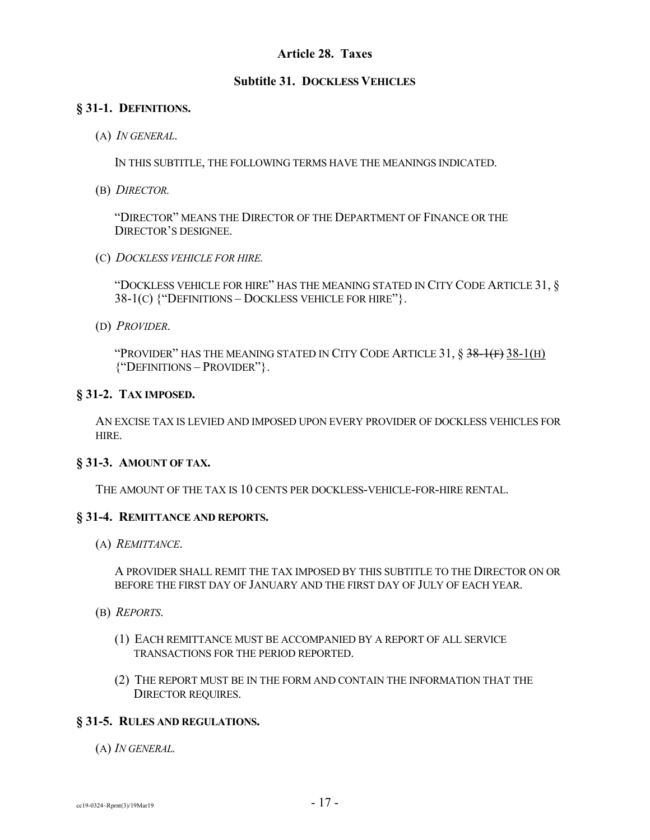## **Article 28. Taxes**

## **Subtitle 31. DOCKLESS VEHICLES**

## **§ 31-1. DEFINITIONS.**

(A) *IN GENERAL*.

IN THIS SUBTITLE, THE FOLLOWING TERMS HAVE THE MEANINGS INDICATED.

(B) *DIRECTOR.*

"DIRECTOR" MEANS THE DIRECTOR OF THE DEPARTMENT OF FINANCE OR THE DIRECTOR'S DESIGNEE.

(C) *DOCKLESS VEHICLE FOR HIRE.*

"DOCKLESS VEHICLE FOR HIRE" HAS THE MEANING STATED IN CITY CODE ARTICLE 31, § 38-1(C) {"DEFINITIONS – DOCKLESS VEHICLE FOR HIRE"}.

(D) *PROVIDER*.

"PROVIDER" HAS THE MEANING STATED IN CITY CODE ARTICLE 31,  $\S$  38-1(F) 38-1(H) {"DEFINITIONS – PROVIDER"}.

## **§ 31-2. TAX IMPOSED.**

AN EXCISE TAX IS LEVIED AND IMPOSED UPON EVERY PROVIDER OF DOCKLESS VEHICLES FOR HIRE.

## **§ 31-3. AMOUNT OF TAX.**

THE AMOUNT OF THE TAX IS 10 CENTS PER DOCKLESS-VEHICLE-FOR-HIRE RENTAL.

## **§ 31-4. REMITTANCE AND REPORTS.**

(A) *REMITTANCE*.

A PROVIDER SHALL REMIT THE TAX IMPOSED BY THIS SUBTITLE TO THE DIRECTOR ON OR BEFORE THE FIRST DAY OF JANUARY AND THE FIRST DAY OF JULY OF EACH YEAR.

- (B) *REPORTS*.
	- (1) EACH REMITTANCE MUST BE ACCOMPANIED BY A REPORT OF ALL SERVICE TRANSACTIONS FOR THE PERIOD REPORTED.
	- (2) THE REPORT MUST BE IN THE FORM AND CONTAIN THE INFORMATION THAT THE DIRECTOR REQUIRES.

## **§ 31-5. RULES AND REGULATIONS.**

(A) *IN GENERAL.*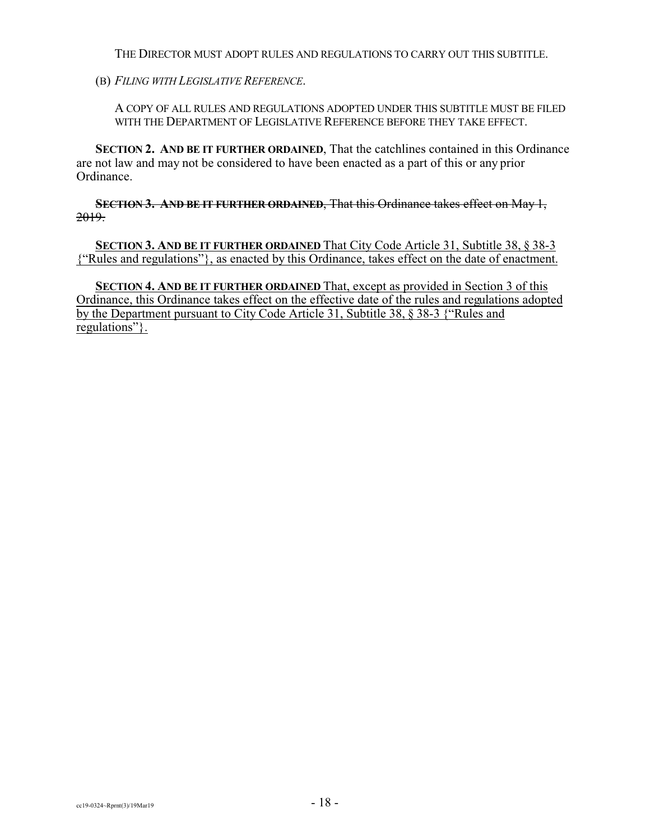THE DIRECTOR MUST ADOPT RULES AND REGULATIONS TO CARRY OUT THIS SUBTITLE.

(B) *FILING WITH LEGISLATIVE REFERENCE*.

A COPY OF ALL RULES AND REGULATIONS ADOPTED UNDER THIS SUBTITLE MUST BE FILED WITH THE DEPARTMENT OF LEGISLATIVE REFERENCE BEFORE THEY TAKE EFFECT.

**SECTION 2. AND BE IT FURTHER ORDAINED**, That the catchlines contained in this Ordinance are not law and may not be considered to have been enacted as a part of this or any prior Ordinance.

**SECTION 3. AND BE IT FURTHER ORDAINED**, That this Ordinance takes effect on May 1, 2019.

**SECTION 3. AND BE IT FURTHER ORDAINED** That City Code Article 31, Subtitle 38, § 38-3 {"Rules and regulations"}, as enacted by this Ordinance, takes effect on the date of enactment.

**SECTION 4. AND BE IT FURTHER ORDAINED** That, except as provided in Section 3 of this Ordinance, this Ordinance takes effect on the effective date of the rules and regulations adopted by the Department pursuant to City Code Article 31, Subtitle 38, § 38-3 {"Rules and regulations"}.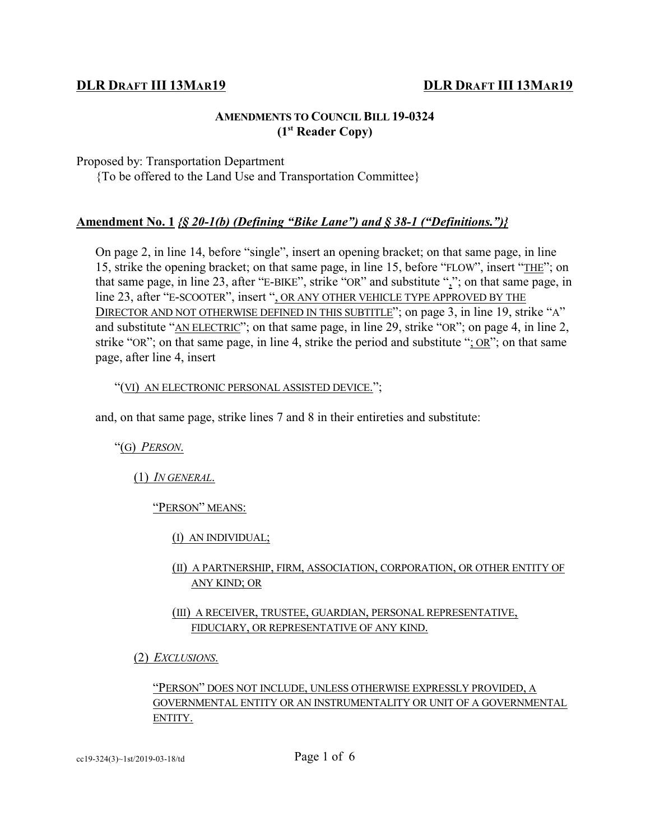# **DLR DRAFT III 13MAR19 DLR DRAFT III 13MAR19**

# **AMENDMENTS TO COUNCIL BILL 19-0324 (1st Reader Copy)**

Proposed by: Transportation Department

{To be offered to the Land Use and Transportation Committee}

# **Amendment No. 1** *{§ 20-1(b) (Defining "Bike Lane") and § 38-1 ("Definitions.")}*

On page 2, in line 14, before "single", insert an opening bracket; on that same page, in line 15, strike the opening bracket; on that same page, in line 15, before "FLOW", insert "THE"; on that same page, in line 23, after "E-BIKE", strike "OR" and substitute ","; on that same page, in line 23, after "E-SCOOTER", insert ", OR ANY OTHER VEHICLE TYPE APPROVED BY THE DIRECTOR AND NOT OTHERWISE DEFINED IN THIS SUBTITLE"; on page 3, in line 19, strike "A" and substitute "AN ELECTRIC"; on that same page, in line 29, strike "OR"; on page 4, in line 2, strike "OR"; on that same page, in line 4, strike the period and substitute "; OR"; on that same page, after line 4, insert

## "(VI) AN ELECTRONIC PERSONAL ASSISTED DEVICE.";

and, on that same page, strike lines 7 and 8 in their entireties and substitute:

"(G) *PERSON*.

(1) *IN GENERAL*.

"PERSON" MEANS:

(I) AN INDIVIDUAL;

# (II) A PARTNERSHIP, FIRM, ASSOCIATION, CORPORATION, OR OTHER ENTITY OF ANY KIND; OR

# (III) A RECEIVER, TRUSTEE, GUARDIAN, PERSONAL REPRESENTATIVE, FIDUCIARY, OR REPRESENTATIVE OF ANY KIND.

(2) *EXCLUSIONS*.

# "PERSON" DOES NOT INCLUDE, UNLESS OTHERWISE EXPRESSLY PROVIDED, A GOVERNMENTAL ENTITY OR AN INSTRUMENTALITY OR UNIT OF A GOVERNMENTAL ENTITY.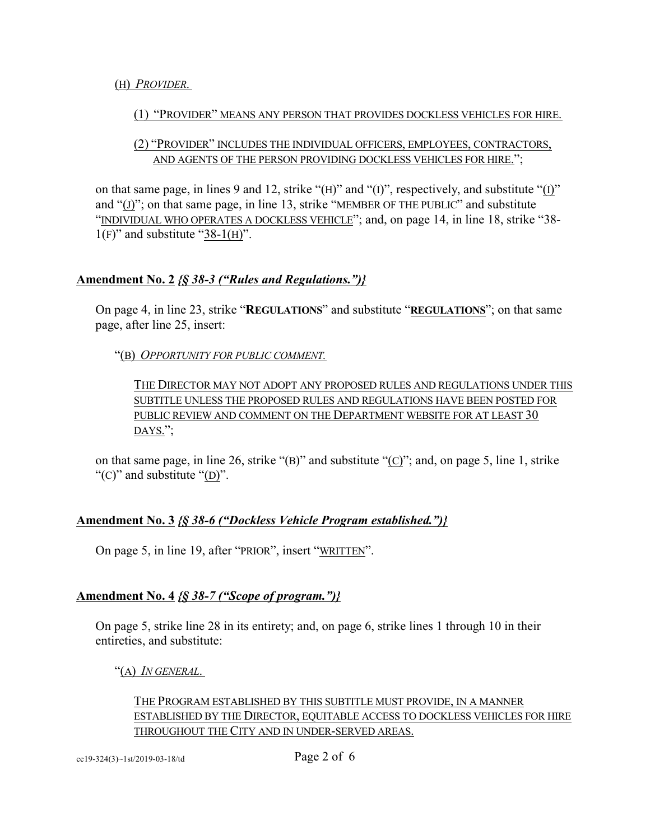# (H) *PROVIDER*.

# (1) "PROVIDER" MEANS ANY PERSON THAT PROVIDES DOCKLESS VEHICLES FOR HIRE.

# (2) "PROVIDER" INCLUDES THE INDIVIDUAL OFFICERS, EMPLOYEES, CONTRACTORS, AND AGENTS OF THE PERSON PROVIDING DOCKLESS VEHICLES FOR HIRE.";

on that same page, in lines 9 and 12, strike "(H)" and "(I)", respectively, and substitute "(I)" and "(J)"; on that same page, in line 13, strike "MEMBER OF THE PUBLIC" and substitute "INDIVIDUAL WHO OPERATES A DOCKLESS VEHICLE"; and, on page 14, in line 18, strike "38-  $1(F)$ " and substitute "38-1(H)".

# **Amendment No. 2** *{§ 38-3 ("Rules and Regulations.")}*

On page 4, in line 23, strike "**REGULATIONS**" and substitute "**REGULATIONS**"; on that same page, after line 25, insert:

"(B) *OPPORTUNITY FOR PUBLIC COMMENT.*

THE DIRECTOR MAY NOT ADOPT ANY PROPOSED RULES AND REGULATIONS UNDER THIS SUBTITLE UNLESS THE PROPOSED RULES AND REGULATIONS HAVE BEEN POSTED FOR PUBLIC REVIEW AND COMMENT ON THE DEPARTMENT WEBSITE FOR AT LEAST 30 DAYS.";

on that same page, in line 26, strike " $(B)$ " and substitute " $(C)$ "; and, on page 5, line 1, strike "(C)" and substitute "(D)".

# **Amendment No. 3** *{§ 38-6 ("Dockless Vehicle Program established.")}*

On page 5, in line 19, after "PRIOR", insert "WRITTEN".

# **Amendment No. 4** *{§ 38-7 ("Scope of program.")}*

On page 5, strike line 28 in its entirety; and, on page 6, strike lines 1 through 10 in their entireties, and substitute:

"(A) *IN GENERAL*.

# THE PROGRAM ESTABLISHED BY THIS SUBTITLE MUST PROVIDE, IN A MANNER ESTABLISHED BY THE DIRECTOR, EQUITABLE ACCESS TO DOCKLESS VEHICLES FOR HIRE THROUGHOUT THE CITY AND IN UNDER-SERVED AREAS.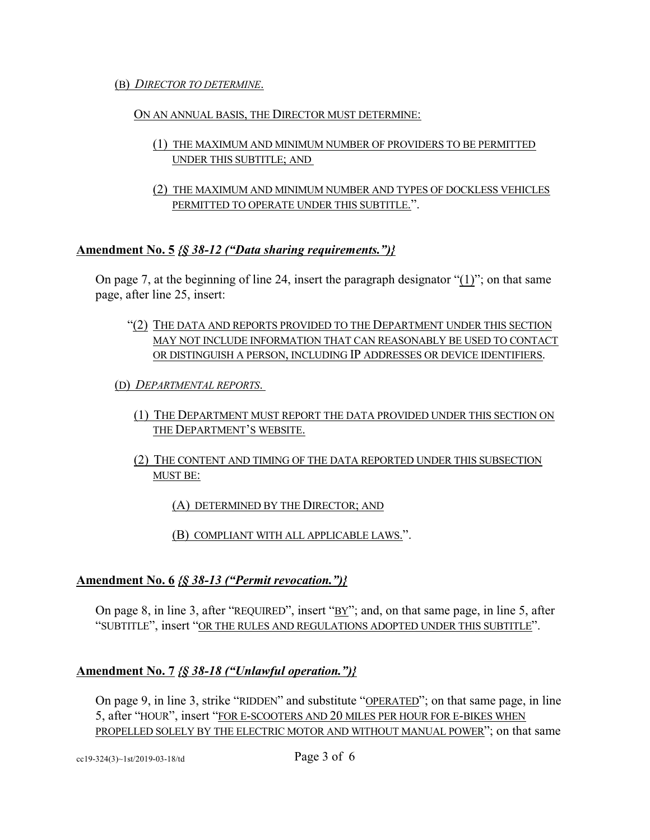## (B) *DIRECTOR TO DETERMINE*.

## ON AN ANNUAL BASIS, THE DIRECTOR MUST DETERMINE:

- (1) THE MAXIMUM AND MINIMUM NUMBER OF PROVIDERS TO BE PERMITTED UNDER THIS SUBTITLE; AND
- (2) THE MAXIMUM AND MINIMUM NUMBER AND TYPES OF DOCKLESS VEHICLES PERMITTED TO OPERATE UNDER THIS SUBTITLE.".

# **Amendment No. 5** *{§ 38-12 ("Data sharing requirements.")}*

On page 7, at the beginning of line 24, insert the paragraph designator "(1)"; on that same page, after line 25, insert:

- "(2) THE DATA AND REPORTS PROVIDED TO THE DEPARTMENT UNDER THIS SECTION MAY NOT INCLUDE INFORMATION THAT CAN REASONABLY BE USED TO CONTACT OR DISTINGUISH A PERSON, INCLUDING IP ADDRESSES OR DEVICE IDENTIFIERS.
- (D) *DEPARTMENTAL REPORTS*.
	- (1) THE DEPARTMENT MUST REPORT THE DATA PROVIDED UNDER THIS SECTION ON THE DEPARTMENT'S WEBSITE.
	- (2) THE CONTENT AND TIMING OF THE DATA REPORTED UNDER THIS SUBSECTION MUST BE:

(A) DETERMINED BY THE DIRECTOR; AND

(B) COMPLIANT WITH ALL APPLICABLE LAWS.".

# **Amendment No. 6** *{§ 38-13 ("Permit revocation.")}*

On page 8, in line 3, after "REQUIRED", insert "BY"; and, on that same page, in line 5, after "SUBTITLE", insert "OR THE RULES AND REGULATIONS ADOPTED UNDER THIS SUBTITLE".

# **Amendment No. 7** *{§ 38-18 ("Unlawful operation.")}*

On page 9, in line 3, strike "RIDDEN" and substitute "OPERATED"; on that same page, in line 5, after "HOUR", insert "FOR E-SCOOTERS AND 20 MILES PER HOUR FOR E-BIKES WHEN PROPELLED SOLELY BY THE ELECTRIC MOTOR AND WITHOUT MANUAL POWER"; on that same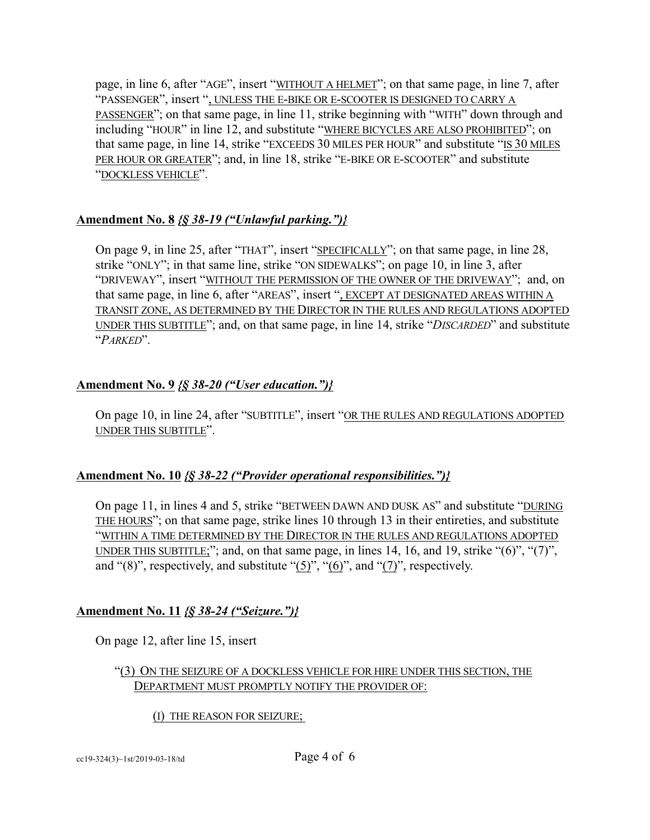page, in line 6, after "AGE", insert "WITHOUT A HELMET"; on that same page, in line 7, after "PASSENGER", insert ", UNLESS THE E-BIKE OR E-SCOOTER IS DESIGNED TO CARRY A PASSENGER"; on that same page, in line 11, strike beginning with "WITH" down through and including "HOUR" in line 12, and substitute "WHERE BICYCLES ARE ALSO PROHIBITED"; on that same page, in line 14, strike "EXCEEDS 30 MILES PER HOUR" and substitute "IS 30 MILES PER HOUR OR GREATER"; and, in line 18, strike "E-BIKE OR E-SCOOTER" and substitute "DOCKLESS VEHICLE".

# **Amendment No. 8** *{§ 38-19 ("Unlawful parking.")}*

On page 9, in line 25, after "THAT", insert "SPECIFICALLY"; on that same page, in line 28, strike "ONLY"; in that same line, strike "ON SIDEWALKS"; on page 10, in line 3, after "DRIVEWAY", insert "WITHOUT THE PERMISSION OF THE OWNER OF THE DRIVEWAY"; and, on that same page, in line 6, after "AREAS", insert ", EXCEPT AT DESIGNATED AREAS WITHIN A TRANSIT ZONE, AS DETERMINED BY THE DIRECTOR IN THE RULES AND REGULATIONS ADOPTED UNDER THIS SUBTITLE"; and, on that same page, in line 14, strike "*DISCARDED*" and substitute "*PARKED*".

# **Amendment No. 9** *{§ 38-20 ("User education.")}*

On page 10, in line 24, after "SUBTITLE", insert "OR THE RULES AND REGULATIONS ADOPTED UNDER THIS SUBTITLE".

# **Amendment No. 10** *{§ 38-22 ("Provider operational responsibilities.")}*

On page 11, in lines 4 and 5, strike "BETWEEN DAWN AND DUSK AS" and substitute "DURING THE HOURS"; on that same page, strike lines 10 through 13 in their entireties, and substitute "WITHIN A TIME DETERMINED BY THE DIRECTOR IN THE RULES AND REGULATIONS ADOPTED UNDER THIS SUBTITLE;"; and, on that same page, in lines 14, 16, and 19, strike "(6)", "(7)", and "(8)", respectively, and substitute "(5)", "(6)", and "(7)", respectively.

# **Amendment No. 11** *{§ 38-24 ("Seizure.")}*

On page 12, after line 15, insert

# "(3) ON THE SEIZURE OF A DOCKLESS VEHICLE FOR HIRE UNDER THIS SECTION, THE DEPARTMENT MUST PROMPTLY NOTIFY THE PROVIDER OF:

(I) THE REASON FOR SEIZURE;

cc19-324(3)~1st/2019-03-18/td Page 4 of 6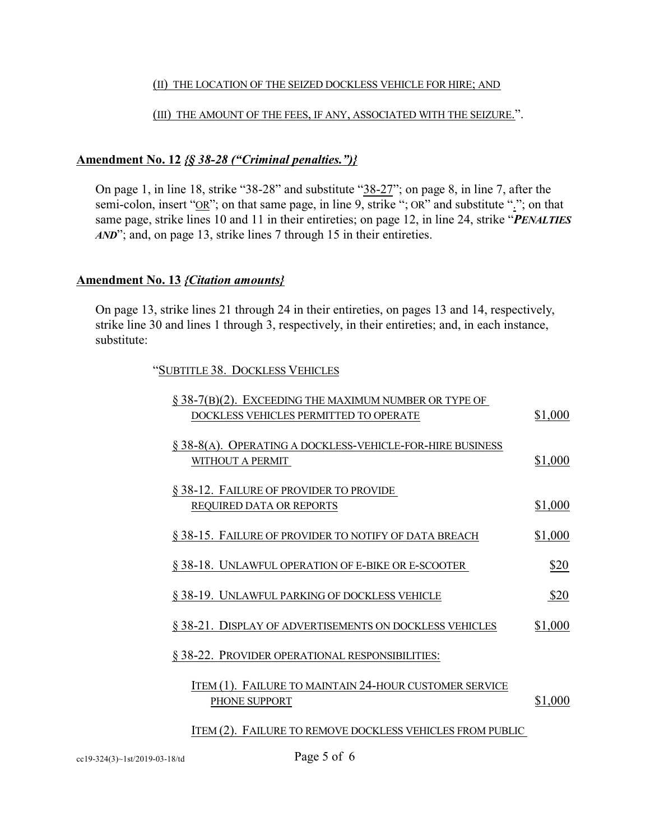## (II) THE LOCATION OF THE SEIZED DOCKLESS VEHICLE FOR HIRE; AND

## (III) THE AMOUNT OF THE FEES, IF ANY, ASSOCIATED WITH THE SEIZURE.".

# **Amendment No. 12** *{§ 38-28 ("Criminal penalties.")}*

On page 1, in line 18, strike "38-28" and substitute "38-27"; on page 8, in line 7, after the semi-colon, insert "OR"; on that same page, in line 9, strike "; OR" and substitute "."; on that same page, strike lines 10 and 11 in their entireties; on page 12, in line 24, strike "*PENALTIES AND*"; and, on page 13, strike lines 7 through 15 in their entireties.

# **Amendment No. 13** *{Citation amounts}*

On page 13, strike lines 21 through 24 in their entireties, on pages 13 and 14, respectively, strike line 30 and lines 1 through 3, respectively, in their entireties; and, in each instance, substitute:

"SUBTITLE 38. DOCKLESS VEHICLES

| § 38-7(B)(2). EXCEEDING THE MAXIMUM NUMBER OR TYPE OF<br>DOCKLESS VEHICLES PERMITTED TO OPERATE | \$1,000 |
|-------------------------------------------------------------------------------------------------|---------|
| § 38-8(A). OPERATING A DOCKLESS-VEHICLE-FOR-HIRE BUSINESS<br>WITHOUT A PERMIT                   | \$1,000 |
| § 38-12. FAILURE OF PROVIDER TO PROVIDE<br><b>REQUIRED DATA OR REPORTS</b>                      | \$1,000 |
| § 38-15. FAILURE OF PROVIDER TO NOTIFY OF DATA BREACH                                           | \$1,000 |
| § 38-18. UNLAWFUL OPERATION OF E-BIKE OR E-SCOOTER                                              | \$20    |
| § 38-19. UNLAWFUL PARKING OF DOCKLESS VEHICLE                                                   | \$20    |
| § 38-21. DISPLAY OF ADVERTISEMENTS ON DOCKLESS VEHICLES                                         | \$1,000 |
| § 38-22. PROVIDER OPERATIONAL RESPONSIBILITIES:                                                 |         |
| ITEM (1). FAILURE TO MAINTAIN 24-HOUR CUSTOMER SERVICE<br>PHONE SUPPORT                         | \$1,000 |
| ITEM (2). FAILURE TO REMOVE DOCKLESS VEHICLES FROM PUBLIC                                       |         |